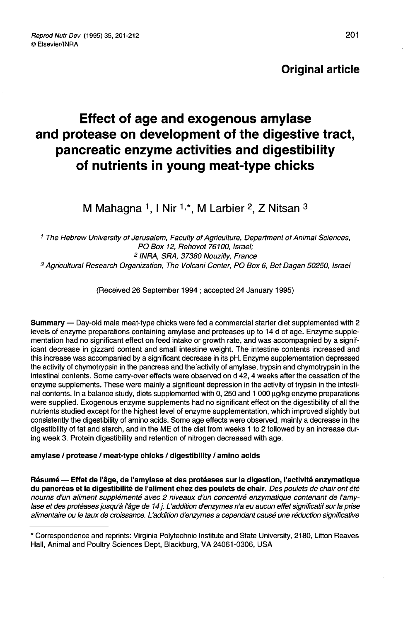# Original article

# Effect of age and exogenous amylase and protease on development of the digestive tract, pancreatic enzyme activities and digestibility of nutrients in young meat-type chicks

M Mahagna <sup>1</sup>, I Nir <sup>1,\*</sup>, M Larbier <sup>2</sup>, Z Nitsan  $3$ 

 The Hebrew University of Jerusalem, Faculty of Agriculture, Department of Animal Sciences, PO Box 12, Rehovot 76100, Israel; INRA, SRA, 37380 Nouzilly, France Agricultural Research Organization, The Volcani Center, PO Box 6, Bet Dagan 50250, Israel

(Received 26 September 1994 ; accepted 24 January 1995)

Summary — Day-old male meat-type chicks were fed a commercial starter diet supplemented with 2 levels of enzyme preparations containing amylase and proteases up to 14 d of age. Enzyme supplementation had no significant effect on feed intake or growth rate, and was accompagnied by a significant decrease in gizzard content and small intestine weight. The intestine contents increased and this increase was accompanied by a significant decrease in its pH. Enzyme supplementation depressed the activity of chymotrypsin in the pancreas and the'activity of amylase, trypsin and chymotrypsin in the intestinal contents. Some carry-over effects were observed on d 42, 4 weeks after the cessation of the enzyme supplements. These were mainly a significant depression in the activity of trypsin in the intestinal contents. In a balance study, diets supplemented with 0, 250 and 1 000 ug/kg enzyme preparations were supplied. Exogenous enzyme supplements had no significant effect on the digestibility of all the nutrients studied except for the highest level of enzyme supplementation, which improved slightly but consistently the digestibility of amino acids. Some age effects were observed, mainly a decrease in the digestibility of fat and starch, and in the ME of the diet from weeks 1 to 2 followed by an increase during week 3. Protein digestibility and retention of nitrogen decreased with age.

# amylase / protease / meat-type chicks / digestibility / amino acids

Résumé ― Effet de l'âge, de l'amylase et des protéases sur la digestion, l'activité enzymatique du pancréas et la digestibilité de l'aliment chez des poulets de chair. Des poulets de chair ont été nourris d'un aliment supplémenté avec 2 niveaux d'un concentré enzymatique contenant de l'amylase et des protéases jusqu'à l'âge de 14 j. L'addition d'enzymes n'a eu aucun effet significatif sur la prise alimentaire ou le taux de croissance. L'addition d'enzymes a cependant causé une réduction significative

<sup>\*</sup> Correspondence and reprints: Virginia Polytechnic Institute and State University, 2180, Litton Reaves Hall, Animal and Poultry Sciences Dept, Blackburg, VA 24061-0306, USA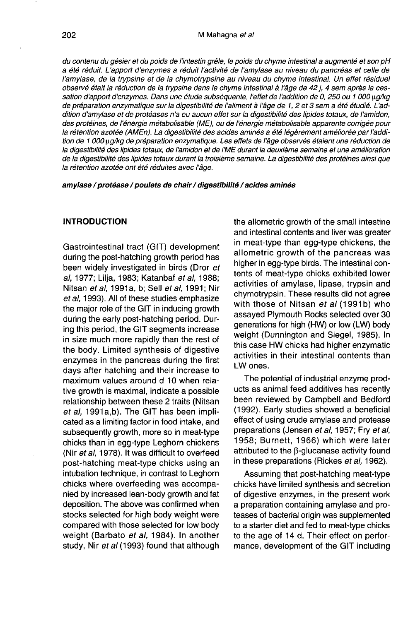du contenu du gésier et du poids de l'intestin grêle, le poids du chyme intestinal a augmenté et son pH a été réduit. L'apport d'enzymes a réduit l'activité de l'amylase au niveau du pancréas et celle de l'amylase, de la trypsine et de la chymotrypsine au niveau du chyme intestinal. Un effet résiduel observé était la réduction de la trypsine dans le chyme intestinal à l'âge de 42 j, 4 sem après la cessation d'apport d'enzymes. Dans une étude subséquente, l'effet de l'addition de 0, 250 ou 1 000  $\mu$ q/kg de préparation enzymatique sur la digestibilité de l'aliment à l'âge de 1, 2 et 3 sem a été étudié. L'addition d'amylase et de protéases n'a eu aucun effet sur la digestibilité des lipides totaux, de l'amidon, des protéines, de l'énergie métabolisable (ME), ou de l'énergie métabolisable apparente corrigée pour la rétention azotée (AMEn). La digestibilité des acides aminés a été légèrement améliorée par l'addition de 1 000 ug/kg de préparation enzymatique. Les effets de l'âge observés étaient une réduction de la digestibilité des lipides totaux, de l'amidon et de l'ME durant la deuxième semaine et une amélioration de la digestibilité des lipides totaux durant la troisième semaine. La digestibilité des protéines ainsi que la rétention azotée ont été réduites avec l'âge.

amylase / protéase / poulets de chair / digestibilité / acides aminés

# INTRODUCTION

Gastrointestinal tract (GIT) development during the post-hatching growth period has been widely investigated in birds (Dror et al, 1977; Lilja, 1983; Katanbaf et al, 1988; Nitsan et al, 1991a, b; Sell et al, 1991; Nir et al, 1993). All of these studies emphasize the major role of the GIT in inducing growth during the early post-hatching period. During this period, the GIT segments increase in size much more rapidly than the rest of the body. Limited synthesis of digestive enzymes in the pancreas during the first days after hatching and their increase to maximum values around d 10 when relative growth is maximal, indicate a possible relationship between these 2 traits (Nitsan et al, 1991a,b). The GIT has been implicated as a limiting factor in food intake, and subsequently growth, more so in meat-type chicks than in egg-type Leghorn chickens (Nir et al, 1978). It was difficult to overfeed post-hatching meat-type chicks using an intubation technique, in contrast to Leghorn chicks where overfeeding was accompanied by increased lean-body growth and fat deposition. The above was confirmed when stocks selected for high body weight were compared with those selected for low body weight (Barbato et al, 1984). In another study, Nir et al (1993) found that although

the allometric growth of the small intestine and intestinal contents and liver was greater in meat-type than egg-type chickens, the allometric growth of the pancreas was higher in egg-type birds. The intestinal contents of meat-type chicks exhibited lower activities of amylase, lipase, trypsin and chymotrypsin. These results did not agree with those of Nitsan et al (1991b) who assayed Plymouth Rocks selected over 30 generations for high (HW) or low (LW) body weight (Dunnington and Siegel, 1985). In this case HW chicks had higher enzymatic activities in their intestinal contents than LW ones.

The potential of industrial enzyme products as animal feed additives has recently been reviewed by Campbell and Bedford (1992). Early studies showed a beneficial effect of using crude amylase and protease preparations (Jensen et al, 1957; Fry et al, 1958; Burnett, 1966) which were later attributed to the  $\beta$ -glucanase activity found in these preparations (Rickes et al, 1962).

Assuming that post-hatching meat-type chicks have limited synthesis and secretion of digestive enzymes, in the present work a preparation containing amylase and proteases of bacterial origin was supplemented to a starter diet and fed to meat-type chicks to the age of 14 d. Their effect on performance, development of the GIT including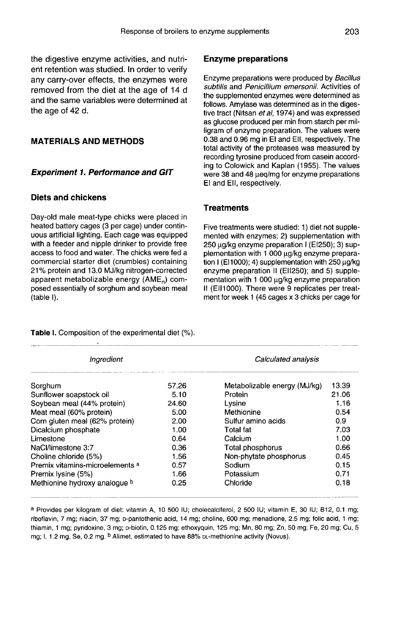the digestive enzyme activities, and nutrient retention was studied. In order to verify any carry-over effects, the enzymes were removed from the diet at the age of 14 d and the same variables were determined at the age of 42 d.

## MATERIALS AND METHODS

#### Experiment 1. Performance and GIT

## Diets and chickens

Day-old male meat-type chicks were placed in heated battery cages (3 per cage) under continuous artificial lighting. Each cage was equipped with a feeder and nipple drinker to provide free access to food and water. The chicks were fed a commercial starter diet (crumbles) containing 21% protein and 13.0 MJ/kg nitrogen-corrected apparent metabolizable energy  $(AME<sub>n</sub>)$  composed essentially of sorghum and soybean meal (table I).

#### Enzyme preparations

Enzyme preparations were produced by Bacillus subtilis and Penicillium emersonii. Activities of the supplemented enzymes were determined as follows. Amylase was determined as in the digestive tract (Nitsan et al, 1974) and was expressed as glucose produced per min from starch per milligram of enzyme preparation. The values were 0.38 and 0.96 mg in El and EII, respectively. The total activity of the proteases was measured by recording tyrosine produced from casein according to Colowick and Kaplan (1955). The values were 38 and 48  $\mu$ eq/mg for enzyme preparations El and Ell, respectively.

## **Treatments**

Five treatments were studied: 1) diet not supplemented with enzymes; 2) supplementation with 250 wg/kg enzyme preparation I (EI250); 3) supplementation with 1 000 µg/kg enzyme preparation I (E11000); 4) supplementation with 250  $\mu$ g/kg enzyme preparation II (EI1250); and 5) supplementation with 1 000 µg/kg enzyme preparation II (EII1000). There were 9 replicates per treatment for week 1 (45 cages x 3 chicks per cage for

| Ingredient                      | Calculated analysis |                              |       |  |
|---------------------------------|---------------------|------------------------------|-------|--|
| Sorghum                         | 57.26               | Metabolizable energy (MJ/kg) | 13.39 |  |
| Sunflower soapstock oil         | 5.10                | Protein                      | 21.06 |  |
| Soybean meal (44% protein)      | 24.60               | Lysine                       | 1.16  |  |
| Meat meal (60% protein)         | 5.00                | Methionine                   | 0.54  |  |
| Corn gluten meal (62% protein)  | 2.00                | Sulfur amino acids           | 0.9   |  |
| Dicalcium phosphate             | 1.00                | Total fat                    | 7.03  |  |
| Limestone                       | 0.64                | Calcium                      | 1.00  |  |
| NaCl/limestone 3:7              | 0.36                | Total phosphorus             | 0.66  |  |
| Choline chloride (5%)           | 1.56                | Non-phytate phosphorus       | 0.45  |  |
| Premix vitamins-microelements a | 0.57                | Sodium                       | 0.15  |  |
| Premix lysine (5%)              | 1.66                | Potassium                    | 0.71  |  |
| Methionine hydroxy analogue b   | 0.25                | Chloride                     | 0.18  |  |

Table I. Composition of the experimental diet (%).

a Provides per kilogram of diet: vitamin A, 10 500 IU; cholecalciferol, 2 500 IU; vitamin E, 30 IU; B12, 0.1 mg; riboflavin, 7 mg; niacin, 37 mg; p-pantothenic acid, 14 mg; choline, 600 mg; menadione, 2.5 mg; folic acid, 1 mg; thiamin, 1 mg; pyridoxine, 3 mg; p-biotin, 0.125 mg; ethoxyquin, 125 mg; Mn, 80 mg; Zn, 50 mg; Fe, 20 mg; Cu, 5 mg; I, 1.2 mg, Se, 0.2 mg. <sup>b</sup> Alimet, estimated to have 88% DL-methionine activity (Novus).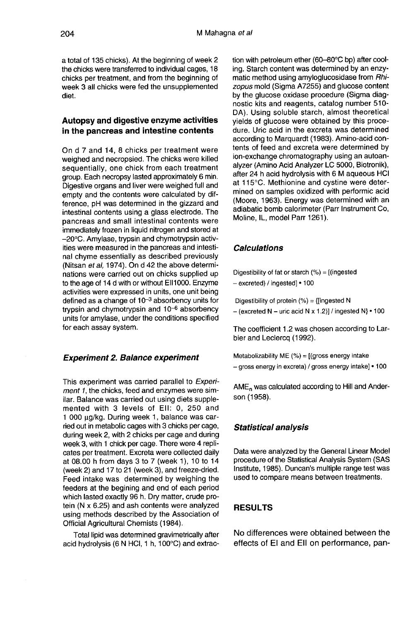a total of 135 chicks). At the beginning of week 2 the chicks were transferred to individual cages, 18 chicks per treatment, and from the beginning of week 3 all chicks were fed the unsupplemented diet.

## Autopsy and digestive enzyme activities in the pancreas and intestine contents

On d 7 and 14, 8 chicks per treatment were weighed and necropsied. The chicks were killed sequentially, one chick from each treatment group. Each necropsy lasted approximately 6 min. Digestive organs and liver were weighed full and empty and the contents were calculated by difference, pH was determined in the gizzard and intestinal contents using a glass electrode. The pancreas and small intestinal contents were immediately frozen in liquid nitrogen and stored at -20°C. Amylase, trypsin and chymotrypsin activities were measured in the pancreas and intestinal chyme essentially as described previously (Nitsan et al, 1974). On d 42 the above determinations were carried out on chicks supplied up to the age of 14 d with or without EI11000. Enzyme activities were expressed in units, one unit being  $\frac{d}{dt}$  activities were expressed in units, one unit being<br>defined as a change of  $10^{-3}$  absorbency units for defined as a change of  $10^{-3}$  absorbency units for<br>trypsin and chymotrypsin and  $10^{-6}$  absorbency units for amylase, under the conditions specified for each assay system.

#### Experiment 2. Balance experiment

This experiment was carried parallel to Experiment 1, the chicks, feed and enzymes were similar. Balance was carried out using diets supplemented with 3 levels of EII: 0, 250 and llar. Balance was carried out using diets supple-<br>mented with 3 levels of EII: 0, 250 and<br>1 000 μg/kg. During week 1, balance was car-<br>ried out in metabolic cages with 3 chicks per cage. ried out in metabolic cages with 3 chicks per cage, during week 2, with 2 chicks per cage and during week 3, with 1 chick per cage. There were 4 repli-<br>cates per treatment. Excreta were collected daily at 08.00 h from days 3 to 7 (week 1), 10 to 14 (week 2) and 17 to 21 (week 3), and freeze-dried. Feed intake was determined by weighing the feeders at the begining and end of each period which lasted exactly 96 h. Dry matter, crude protein (N x 6.25) and ash contents were analyzed using methods described by the Association of Official Agricultural Chemists (1984).

Total lipid was determined gravimetrically after acid hydrolysis (6 N HCI, 1 h, 100°C) and extraction with petroleum ether (60-80°C bp) after cooling. Starch content was determined by an enzymatic method using amyloglucosidase from Rhizopus mold (Sigma A7255) and glucose content by the glucose oxidase procedure (Sigma diagnostic kits and reagents, catalog number 510- DA). Using soluble starch, almost theoretical yields of glucose were obtained by this procedure. Uric acid in the excreta was determined according to Marquardt (1983). Amino-acid contents of feed and excreta were determined by ion-exchange chromatography using an autoanalyzer (Amino Acid Analyzer LC 5000, Biotronik), after 24 h acid hydrolysis with 6 M aqueous HCI at 115°C. Methionine and cystine were determined on samples oxidized with performic acid (Moore, 1963). Energy was determined with an adiabatic bomb calorimeter (Parr Instrument Co, Moline, IL, model Parr 1261).

## Calculations

Digestibility of fat or starch (%) = [(ingested - excreted) / ingested] • 100

Digestibility of protein (%) = {[ingested N  $-$  (excreted N  $-$  uric acid N x 1.2)] / ingested N}  $\cdot$  100

The coefficient 1.2 was chosen according to Larbier and Leclercq (1992).

Metabolizability ME (%) = [(gross energy intake - gross energy in excreta) / gross energy intake] • 100

AME<sub>n</sub> was calculated according to Hill and Anderson (1958).

#### Statistical analysis

Data were analyzed by the General Linear Model procedure of the Statistical Analysis System (SAS Institute, 1985). Duncan's multiple range test was used to compare means between treatments.

# RESULTS

No differences were obtained between the effects of El and EII on performance, pan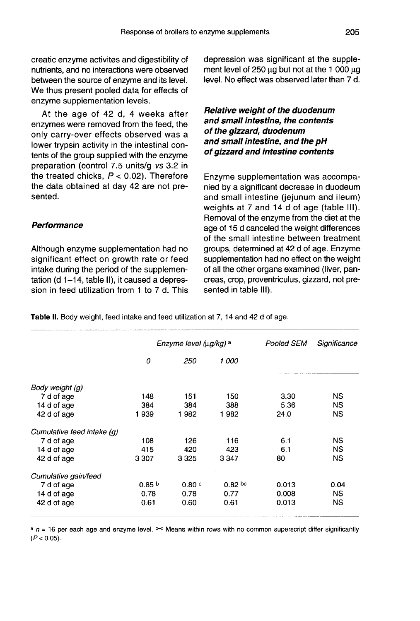creatic enzyme activites and digestibility of nutrients, and no interactions were observed between the source of enzyme and its level. We thus present pooled data for effects of enzyme supplementation levels.

At the age of 42 d, 4 weeks after enzymes were removed from the feed, the only carry-over effects observed was a lower trypsin activity in the intestinal contents of the group supplied with the enzyme preparation (control 7.5 units/g vs 3.2 in the treated chicks,  $P < 0.02$ ). Therefore the data obtained at day 42 are not presented.

## **Performance**

Although enzyme supplementation had no significant effect on growth rate or feed intake during the period of the supplementation (d 1-14, table II), it caused a depression in feed utilization from 1 to 7 d. This depression was significant at the supplement level of  $250 \mu$ g but not at the 1 000  $\mu$ g level. No effect was observed later than 7 d.

# Relative weight of the duodenum and small intestine, the contents of the gizzard, duodenum and small intestine, and the pH of gizzard and intestine contents

Enzyme supplementation was accompanied by a significant decrease in duodeum and small intestine (jejunum and ileum) weights at 7 and 14 d of age (table III). Removal of the enzyme from the diet at the age of 15 d canceled the weight differences of the small intestine between treatment groups, determined at 42 d of age. Enzyme supplementation had no effect on the weight of all the other organs examined (liver, pancreas, crop, proventriculus, gizzard, not presented in table III).

Table II. Body weight, feed intake and feed utilization at 7, 14 and 42 d of age.

|                            |                   | Enzyme level (µg/kg) a | Pooled SEM | Significance |           |
|----------------------------|-------------------|------------------------|------------|--------------|-----------|
|                            | 0                 | 250                    | 1 000      |              |           |
| Body weight (g)            |                   |                        |            |              |           |
| 7 d of age                 | 148               | 151                    | 150        | 3.30         | NS.       |
| 14 d of age                | 384               | 384                    | 388        | 5.36         | <b>NS</b> |
| 42 d of age                | 1939              | 1982                   | 1982       | 24.0         | NS.       |
| Cumulative feed intake (g) |                   |                        |            |              |           |
| 7 d of age                 | 108               | 126                    | 116        | 6.1          | NS.       |
| 14 d of age                | 415               | 420                    | 423        | 61           | <b>NS</b> |
| 42 d of age                | 3 307             | 3325                   | 3 3 4 7    | 80           | <b>NS</b> |
| Cumulative gain/feed       |                   |                        |            |              |           |
| 7 d of age                 | 0.85 <sup>b</sup> | 0.80c                  | 0.82pc     | 0.013        | 0.04      |
| 14 d of age                | 0.78              | 0.78                   | 0.77       | 0.008        | NS.       |
| 42 d of age                | 0.61              | 0.60                   | 0.61       | 0.013        | NS        |

 $a_n = 16$  per each age and enzyme level. b-c Means within rows with no common superscript differ significantly  $(P < 0.05)$ .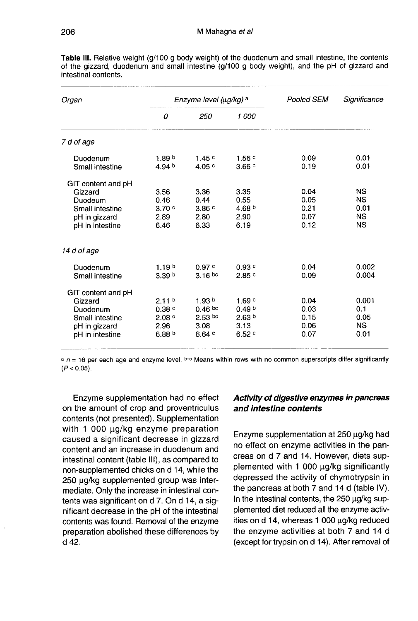| Organ                                                                                            |                                                                              | Enzyme level (µg/kg) a                                               |                                                                   | Pooled SEM                           | Significance                                             |  |
|--------------------------------------------------------------------------------------------------|------------------------------------------------------------------------------|----------------------------------------------------------------------|-------------------------------------------------------------------|--------------------------------------|----------------------------------------------------------|--|
|                                                                                                  | 0                                                                            | 250                                                                  | 1 000                                                             |                                      |                                                          |  |
| 7 d of age                                                                                       |                                                                              |                                                                      |                                                                   |                                      |                                                          |  |
| Duodenum<br>Small intestine                                                                      | 1.89 <sup>b</sup><br>4.94 $b$                                                | 1.45c<br>4.05c                                                       | 1.56c<br>3.66c                                                    | 0.09<br>0.19                         | 0.01<br>0.01                                             |  |
| GIT content and pH<br>Gizzard<br>Duodeum<br>Small intestine<br>pH in gizzard<br>pH in intestine  | 3.56<br>0.46<br>3.70c<br>2.89<br>6.46                                        | 3.36<br>0.44<br>3.86c<br>2.80<br>6.33                                | 3.35<br>0.55<br>4.68 $b$<br>2.90<br>6.19                          | 0.04<br>0.05<br>0.21<br>0.07<br>0.12 | <b>NS</b><br><b>NS</b><br>0.01<br><b>NS</b><br><b>NS</b> |  |
| 14 d of age                                                                                      |                                                                              |                                                                      |                                                                   |                                      |                                                          |  |
| Duodenum<br>Small intestine                                                                      | 1.19 <sup>b</sup><br>3.39 <sup>b</sup>                                       | 0.97c<br>$3.16 \text{ bc}$                                           | 0.93c<br>2.85c                                                    | 0.04<br>0.09                         | 0.002<br>0.004                                           |  |
| GIT content and pH<br>Gizzard<br>Duodenum<br>Small intestine<br>pH in gizzard<br>pH in intestine | 2.11 <sup>b</sup><br>0.38c<br>2.08 <sup>c</sup><br>2.96<br>6.88 <sup>b</sup> | 1.93 <sup>b</sup><br>$0.46~{\rm^{bc}}$<br>$2.53$ bc<br>3.08<br>6.64c | 1.69c<br>0.49 <sup>b</sup><br>2.63 <sup>b</sup><br>3.13<br>6.52 ° | 0.04<br>0.03<br>0.15<br>0.06<br>0.07 | 0.001<br>0.1<br>0.05<br><b>NS</b><br>0.01                |  |

Table III. Relative weight (g/100 g body weight) of the duodenum and small intestine, the contents of the gizzard, duodenum and small intestine (g/100 g body weight), and the pH of gizzard and intestinal contents.

 $a_n = 16$  per each age and enzyme level. b-c Means within rows with no common superscripts differ significantly  $(P < 0.05)$ .

Enzyme supplementation had no effect on the amount of crop and proventriculus contents (not presented). Supplementation with 1 000  $\mu$ g/kg enzyme preparation caused a significant decrease in gizzard content and an increase in duodenum and intestinal content (table III), as compared to non-supplemented chicks on d 14, while the 250 µg/kg supplemented group was intermediate. Only the increase in intestinal contents was significant on d 7. On d 14, a significant decrease in the pH of the intestinal contents was found. Removal of the enzyme preparation abolished these differences by d 42.

# Activity of digestive enzymes in pancreas and intestine contents

Enzyme supplementation at  $250 \mu g/kg$  had no effect on enzyme activities in the pancreas on d 7 and 14. However, diets supplemented with  $1000 \mu g/kg$  significantly depressed the activity of chymotrypsin in the pancreas at both 7 and 14 d (table IV). In the intestinal contents, the  $250 \mu q/kg$  supplemented diet reduced all the enzyme activities on d 14, whereas 1 000 ug/kg reduced the enzyme activities at both 7 and 14 d (except for trypsin on d 14). After removal of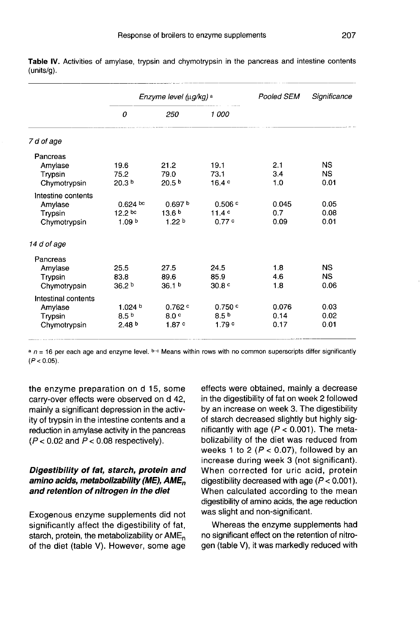|                     |                    | Enzyme level (µg/kg) a | Pooled SEM        | Significance |           |  |
|---------------------|--------------------|------------------------|-------------------|--------------|-----------|--|
|                     | 0                  | 250                    | 1 000             |              |           |  |
| 7 d of age          |                    |                        |                   |              |           |  |
| Pancreas            |                    |                        |                   |              |           |  |
| Amylase             | 19.6               | 21.2                   | 19.1              | 2.1          | ΝS        |  |
| Trypsin             | 75.2               | 79.0                   | 73.1              | 3.4          | <b>NS</b> |  |
| Chymotrypsin        | 20.3 <sup>b</sup>  | 20.5 <sup>b</sup>      | 16.4c             | 1.0          | 0.01      |  |
| Intestine contents  |                    |                        |                   |              |           |  |
| Amylase             | $0.624$ bc         | 0.697 <sup>b</sup>     | 0.506 °           | 0.045        | 0.05      |  |
| Trypsin             | 12.2 <sub>bc</sub> | 13.6 <sup>b</sup>      | 11.4c             | 0.7          | 0.08      |  |
| Chymotrypsin        | 1.09 <sup>b</sup>  | 1.22 <sub>b</sub>      | 0.77c             | 0.09         | 0.01      |  |
| 14 d of age         |                    |                        |                   |              |           |  |
| Pancreas            |                    |                        |                   |              |           |  |
| Amylase             | 25.5               | 27.5                   | 24.5              | 1.8          | <b>NS</b> |  |
| Trypsin             | 83.8               | 89.6                   | 85.9              | 4.6          | <b>NS</b> |  |
| Chymotrypsin        | 36.2 <sup>b</sup>  | 36.1 <sup>b</sup>      | 30.8 <sup>c</sup> | 1.8          | 0.06      |  |
| Intestinal contents |                    |                        |                   |              |           |  |
| Amylase             | 1.024 b            | 0.762c                 | 0.750c            | 0.076        | 0.03      |  |
| Trypsin             | 8.5 <sup>b</sup>   | 8.0 <sub>c</sub>       | 8.5 <sup>b</sup>  | 0.14         | 0.02      |  |
| Chymotrypsin        | 2.48 <sup>b</sup>  | 1.87c                  | 1.79c             | 0.17         | 0.01      |  |

Table IV. Activities of amylase, trypsin and chymotrypsin in the pancreas and intestine contents  $(units/q).$ 

 $a$  n = 16 per each age and enzyme level.  $b-c$  Means within rows with no common superscripts differ significantly  $(P < 0.05)$ .

the enzyme preparation on d 15, some carry-over effects were observed on d 42, mainly a significant depression in the activity of trypsin in the intestine contents and a reduction in amylase activity in the pancreas  $(P < 0.02$  and  $P < 0.08$  respectively).

# Digestibility of fat, starch, protein and Digestibility of fat, starch, protein and<br>amino acids, metabolizability (ME), AME<sub>n</sub><br>and retention of nitrogen in the diet and retention of nitrogen in the diet

Exogenous enzyme supplements did not significantly affect the digestibility of fat, starch, protein, the metabolizability or  $AME<sub>n</sub>$ of the diet (table V). However, some age effects were obtained, mainly a decrease in the digestibility of fat on week 2 followed by an increase on week 3. The digestibility of starch decreased slightly but highly significantly with age ( $P < 0.001$ ). The metabolizability of the diet was reduced from weeks 1 to 2 ( $P < 0.07$ ), followed by an increase during week 3 (not significant). When corrected for uric acid, protein digestibility decreased with age  $(P < 0.001)$ . When calculated according to the mean digestibility of amino acids, the age reduction was slight and non-significant.

Whereas the enzyme supplements had no significant effect on the retention of nitrogen (table V), it was markedly reduced with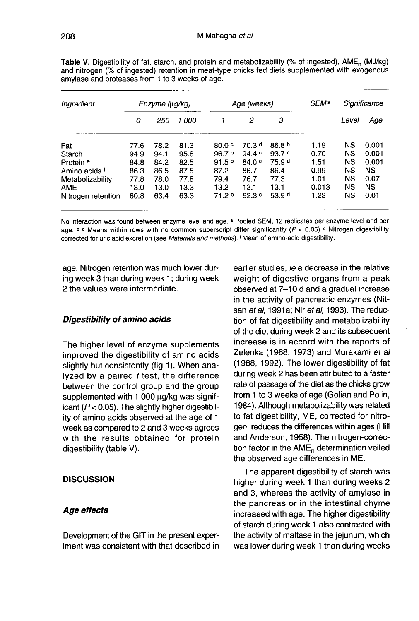| Ingredient           | Enzyme (ug/kg) |      | Age (weeks) |                   |                   | SEM <sup>a</sup>  | Significance |           |       |
|----------------------|----------------|------|-------------|-------------------|-------------------|-------------------|--------------|-----------|-------|
|                      | 0              | 250  | 1 000       |                   | 2                 | 3                 |              | Level     | Age   |
| Fat                  | 77.6           | 78.2 | 81.3        | 80.0 <sup>c</sup> | 70.3 <sup>d</sup> | 86.8 <sup>b</sup> | 1.19         | NS        | 0.001 |
| Starch               | 94.9           | 94.1 | 95.8        | 96.7 <sup>b</sup> | 94.4 c            | 93.7c             | 0.70         | NS        | 0.001 |
| Protein <sup>e</sup> | 84.8           | 84.2 | 82.5        | 91.5 <sup>b</sup> | 84.0 c            | 75.9 <sup>d</sup> | 1.51         | <b>NS</b> | 0.001 |
| Amino acids f        | 86.3           | 86.5 | 87.5        | 87.2              | 86.7              | 86.4              | 0.99         | NS        | NS    |
| Metabolizability     | 77.8           | 78.0 | 77.8        | 79.4              | 76.7              | 77.3              | 1.01         | <b>NS</b> | 0.07  |
| <b>AME</b>           | 13.0           | 13.0 | 13.3        | 13.2              | 13.1              | 13.1              | 0.013        | <b>NS</b> | NS    |
| Nitrogen retention   | 60.8           | 63.4 | 63.3        | 71.2 <sup>b</sup> | 62.3c             | 53.9 <sup>d</sup> | 1.23         | <b>NS</b> | 0.01  |

Table V. Digestibility of fat, starch, and protein and metabolizability (% of ingested), AME<sub>n</sub> (MJ/kg) and nitrogen (% of ingested) retention in meat-type chicks fed diets supplemented with exogenous amylase and proteases from 1 to 3 weeks of age.

No interaction was found between enzyme level and age. a Pooled SEM, 12 replicates per enzyme level and per age.  $b-d$  Means within rows with no common superscript differ significantly ( $P < 0.05$ ) <sup>e</sup> Nitrogen digestibility corrected for uric acid excretion (see Materials and methods). <sup>f</sup> Mean of amino-acid digestibility.

age. Nitrogen retention was much lower during week 3 than during week 1; during week 2 the values were intermediate.

#### Digestibility of amino acids

The higher level of enzyme supplements improved the digestibility of amino acids slightly but consistently (fig 1). When analyzed by a paired  $t$  test, the difference between the control group and the group supplemented with 1 000 µg/kg was significant  $(P < 0.05)$ . The slightly higher digestibility of amino acids observed at the age of 1 week as compared to 2 and 3 weeks agrees with the results obtained for protein digestibility (table V).

#### **DISCUSSION**

#### Age effects

Development of the GIT in the present experiment was consistent with that described in earlier studies, ie a decrease in the relative weight of digestive organs from a peak observed at 7-10 d and a gradual increase in the activity of pancreatic enzymes (Nit san et al, 1991a; Nir et al, 1993). The reduction of fat digestibility and metabolizability of the diet during week 2 and its subsequent increase is in accord with the reports of Zelenka (1968, 1973) and Murakami et al (1988, 1992). The lower digestibility of fat during week 2 has been attributed to a faster rate of passage of the diet as the chicks grow from 1 to 3 weeks of age (Golian and Polin, 1984). Although metabolizability was related to fat digestibility, ME, corrected for nitrogen, reduces the differences within ages (Hill and Anderson, 1958). The nitrogen-correction factor in the  $AME<sub>n</sub>$  determination veiled the observed age differences in ME.

The apparent digestibility of starch was higher during week 1 than during weeks 2 and 3, whereas the activity of amylase in the pancreas or in the intestinal chyme increased with age. The higher digestibility of starch during week 1 also contrasted with the activity of maltase in the jejunum, which was lower during week 1 than during weeks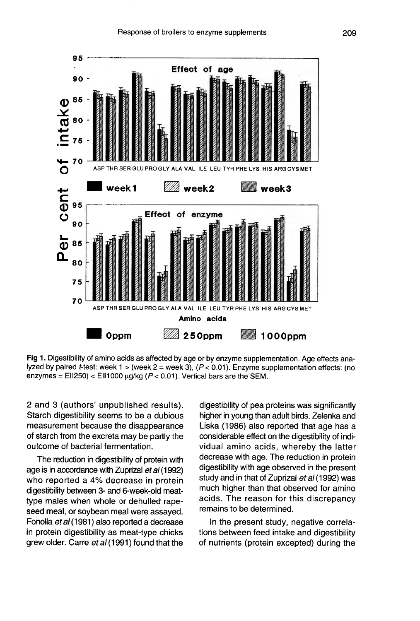

Fig 1. Digestibility of amino acids as affected by age or by enzyme supplementation. Age effects analyzed by paired *t*-test: week 1 > (week 2 = week 3),  $(P < 0.01)$ . Enzyme supplementation effects: (no enzymes = EII250) < EII1000  $\mu$ g/kg ( $P$  < 0.01). Vertical bars are the SEM.

2 and 3 (authors' unpublished results). Starch digestibility seems to be a dubious measurement because the disappearance of starch from the excreta may be partly the outcome of bacterial fermentation.

The reduction in digestibility of protein with age is in accordance with Zuprizal et al (1992) who reported a 4% decrease in protein digestibility between 3- and 6-week-old meattype males when whole or dehulled rapeseed meal, or soybean meal were assayed. Fonolla et al (1981) also reported a decrease in protein digestibility as meat-type chicks grew older. Carre et al (1991) found that the

digestibility of pea proteins was significantly higher in young than adult birds. Zelenka and Liska (1986) also reported that age has a considerable effect on the digestibility of individual amino acids, whereby the latter decrease with age. The reduction in protein digestibility with age observed in the present study and in that of Zuprizal et al (1992) was much higher than that observed for amino acids. The reason for this discrepancy remains to be determined.

In the present study, negative correlations between feed intake and digestibility of nutrients (protein excepted) during the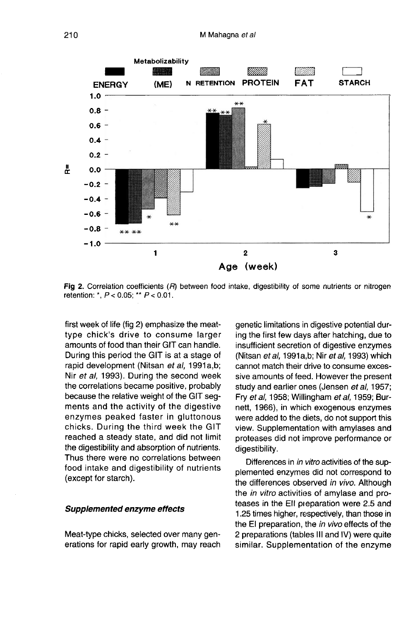

Fig 2. Correlation coefficients (R) between food intake, digestibility of some nutrients or nitrogen retention: \*,  $P < 0.05$ ; \*\*  $P < 0.01$ .

first week of life (fig 2) emphasize the meattype chick's drive to consume larger amounts of food than their GIT can handle. During this period the GIT is at a stage of rapid development (Nitsan et al, 1991a,b; Nir et al, 1993). During the second week the correlations became positive, probably because the relative weight of the GIT segments and the activity of the digestive enzymes peaked faster in gluttonous chicks. During the third week the GIT reached a steady state, and did not limit the digestibility and absorption of nutrients. Thus there were no correlations between food intake and digestibility of nutrients (except for starch).

#### Supplemented enzyme effects

Meat-type chicks, selected over many generations for rapid early growth, may reach genetic limitations in digestive potential during the first few days after hatching, due to insufficient secretion of digestive enzymes (Nitsan et al, 1991a,b; Nir et al, 1993) which cannot match their drive to consume excessive amounts of feed. However the present study and earlier ones (Jensen et al, 1957; Fry et al, 1958; Willingham et al, 1959; Burnett, 1966), in which exogenous enzymes were added to the diets, do not support this view. Supplementation with amylases and proteases did not improve performance or digestibility.

Differences in in vitro activities of the supplemented enzymes did not correspond to the differences observed in vivo. Although the in vitro activities of amylase and proteases in the EII pieparation were 2.5 and 1.25 times higher, respectively, than those in the El preparation, the in vivo effects of the 2 preparations (tables III and IV) were quite similar. Supplementation of the enzyme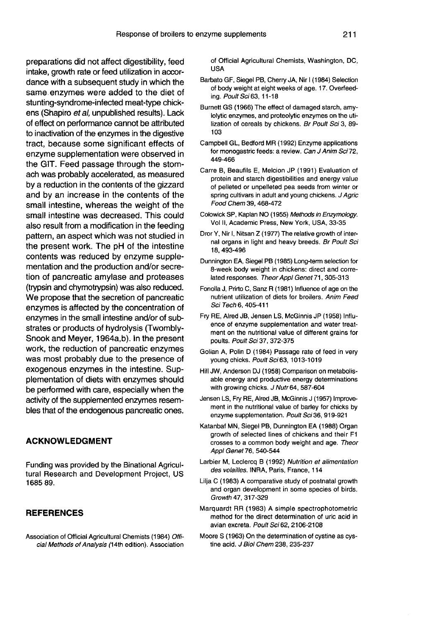preparations did not affect digestibility, feed intake, growth rate or feed utilization in accordance with a subsequent study in which the same enzymes were added to the diet of stunting-syndrome-infected meat-type chickens (Shapiro et al, unpublished results). Lack of effect on performance cannot be attributed to inactivation of the enzymes in the digestive tract, because some significant effects of enzyme supplementation were observed in the GIT. Feed passage through the stomach was probably accelerated, as measured by a reduction in the contents of the gizzard and by an increase in the contents of the small intestine, whereas the weight of the small intestine was decreased. This could also result from a modification in the feeding pattern, an aspect which was not studied in the present work. The pH of the intestine contents was reduced by enzyme supplementation and the production and/or secretion of pancreatic amylase and proteases (trypsin and chymotrypsin) was also reduced. We propose that the secretion of pancreatic enzymes is affected by the concentration of enzymes in the small intestine and/or of substrates or products of hydrolysis (Twombly-Snook and Meyer, 1964a,b). In the present work, the reduction of pancreatic enzymes was most probably due to the presence of exogenous enzymes in the intestine. Supplementation of diets with enzymes should be performed with care, especially when the activity of the supplemented enzymes resembles that of the endogenous pancreatic ones.

## ACKNOWLEDGMENT

Funding was provided by the Binational Agricultural Research and Development Project, US 168589.

# REFERENCES

Association of Official Agricultural Chemists (1984) Official Methods of Analysis (14th edition). Association of Official Agricultural Chemists, Washington, DC, USA

- Barbato GF, Siegel PB, Cherry JA, Nir I (1984) Selection of body weight at eight weeks of age. 17. Overfeeding. Poult Sci63, 11-18
- Burnett GS (1966) The effect of damaged starch, amylolytic enzymes, and proteolytic enzymes on the utilization of cereals by chickens. Br Poult Sci 3, 89- 103
- Campbell GL, Bedford MR (1992) Enzyme applications for monogastric feeds: a review. Can J Anim Sci72, 449-466
- Carre B, Beaufils E, Melcion JP (1991) Evaluation of protein and starch digestibilities and energy value of pelleted or unpelleted pea seeds from winter or spring cultivars in adult and young chickens. J Agric Food Chem 39, 468-472
- Colowick SP, Kaplan NO (1955) Methods in Enzymology. Vol II, Academic Press, New York, USA, 33-35
- Dror Y, Nir I, Nitsan Z (1977) The relative growth of internal organs in light and heavy breeds. Br Poult Sci 18, 493-496
- Dunnington EA, Siegel PB (1985) Long-term selection for 8-week body weight in chickens: direct and correlated responses. Theor Appl Genet 71, 305-313
- Fonolla J, Prirto C, Sanz R (1981) Influence of age on the nutrient utilization of diets for broilers. Anim Feed Sci Tech 6, 405-411
- Fry RE, Alred JB, Jensen LS, McGinnis JP (1958) Influence of enzyme supplementation and water treatment on the nutritional value of different grains for poults. Poult Sci 37, 372-375
- Golian A, Polin D (1984) Passage rate of feed in very young chicks. Poult Sci 63, 1013-1019
- Hill JW, Anderson DJ (1958) Comparison on metabolisable energy and productive energy determinations with growing chicks. J Nutr 64, 587-604
- Jensen LS, Fry RE, Alred JB, McGinnis J (1957) Improve ment in the nutritional value of barley for chicks by enzyme supplementation. Poult Sci 36, 919-921
- Katanbaf MN, Siegel PB, Dunnington EA (1988) Organ growth of selected lines of chickens and their F1 crosses to a common body weight and age. Theor Appl Genet 76, 540-544
- Larbier M, Leclercq B (1992) Nutrition et alimentation des volailles. INRA, Paris, France, 114
- Lilja C (1983) A comparative study of postnatal growth and organ development in some species of birds. Growth 47, 317-329
- Marquardt RR (1983) A simple spectrophotometric method for the direct determination of uric acid in avian excreta. Poult Sci 62, 2106-2108
- Moore S (1963) On the determination of cystine as cystine acid. J Biol Chem 238, 235-237